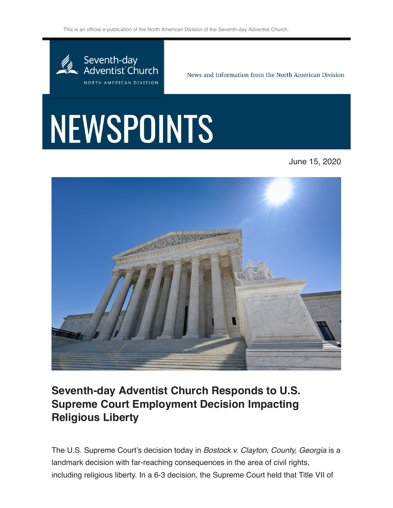$\leq$  This is an official e-publication of the North American Division of the Seventh-day Adventist Church.



News and Information from the North American Division

## NEWSPOINTS

June 15, 2020



## **Seventh-day Adventist Church Responds to U.S. Supreme Court Employment Decision Impacting Religious Liberty**

The U.S. Supreme Court's decision today in *Bostock v. Clayton, County, Georgia* is a landmark decision with far-reaching consequences in the area of civil rights, including religious liberty. In a 6-3 decision, the Supreme Court held that Title VII of